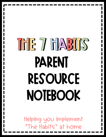## THE 7 FIAS1IS PARENT Resource Notebook

Helping you implement "The Habits" at home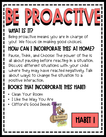## BE PROACTIVE WHAT IS IT?

Being proactive means you are in charge of you! We focus on making good choices.

#### How can I incorporate this at home?

Pause, Think, and Choose: The power of the is all about pausing before reacting in a situation. Discuss different situations with your child where they may have reacted negatively. Talk about ways to change the situation to a positive interaction.

#### Books that incorporate this habit:

- Clean Your Room
- I Like the Way You Are
- Clifford's Good Deeds



Habit 1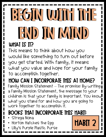## BEGIN WITH THE end in mind WHAT IS IT?

This means to think about how you would like something to turn out before you get started. With family, it means what you value and hope for your family to accomplish together.

### How can I incorporate this at home?

Family Mission Statement – The promise: By writing a Family Mission Statement, the message to your children is that your family is important. You know what you stand for and how you are going to work together to accomplish it.

Habit 2

- Strega Nona
- Horton Hatches the Egg
- Lilly's Purple Plastic Purse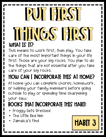## PUI FIRST THINGS FIRST WHAT IS IT?

This means to work first, then play. You take care of the most important things in your life first. Those are your big rocks. You plan to do the things that are not essential after you take care of your big rocks.

### How can I incorporate this at home?

At home you can complete chores, homework, or helping your family members before going outside to play or spending time sharpening your saw.

- Froggy Gets Dressed
- The Little Red Hen
- 

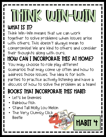### THINK WIN-WIN WHAT IS IT?

Think Win-Win means that we can work together to solve problems when issues arise with others. This doesn't always mean to compromise! We are kind to others and consider their thoughts along with ours.

#### How can I incorporate this at home?

You may choose to role play different scenarios that may come up often and how to address those issues. The idea is for both parties to practice actively listening and have a discuss of how to solve the problem as a team!

**HABIT 4** 

ı

- Let's be Enemies
- Rainbow Fish
- Stand Tall Molly Lou Melon
- The Very Clumsy Click Think Beetle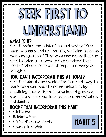## SEEK FIRST TO understand

#### WHAT IS IT?

Habit 5 makes me think of the old saying "You have two ears and one mouth, so listen twice as much as you talk." This helps remind us that we need to listen to others and understand their point of view before we attempt to convey our thoughts.

#### How can I incorporate this at home?

Habit 5 is about communication. The best way to teach someone how to communicate is by practicing it with them. Playing board games at home is a great way to practice communication and Habit 5.

- **Stellaluna**
- Rainbow Fish
- Clifford's Good Deeds
- 

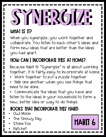# SYNERGIZE

#### WHAT IS IT?

When you synergize, you work together and collaborate. You listen to each other's ideas and form new ideas that are better than the ideas you had apart.

#### How can I incorporate this at home?

Because Habit 6: "Synergize" is all about working together, it is fairly easy to incorporate at home.

- Work together to put a puzzle together
- Help one another when you see things that need to be done.

• Communicate the ideas that you have and listen to the ideas in your household to form a new, better idea or way to do things.

- Owl Moon
- The Snowy Day
- Stone Fox
- Hatchet

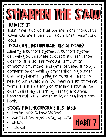### SHARPEN THE SAW WHAT IS IT?

Habit 7 reminds us that we are more productive when we are in balance—body, brain, heart, and soul.

#### How can I incorporate this at home?

Identify a support system. A support system can help you celebrate success and learn from disappointments, talk through difficult or stressful situations, and get motivated through cooperation or healthy competition. A younger Child may benefit by playing outside, balancing reading with watching T.V., making a list of things that make them happy or starting a journal. An older child may benefit by keeping a journal, hanging out with their friends, or reading a good book.

Habit 7

- The Emperor's New Clothes
- Don't Let the Pigeon Stay Up Late
- Shiloh
- Hatchet